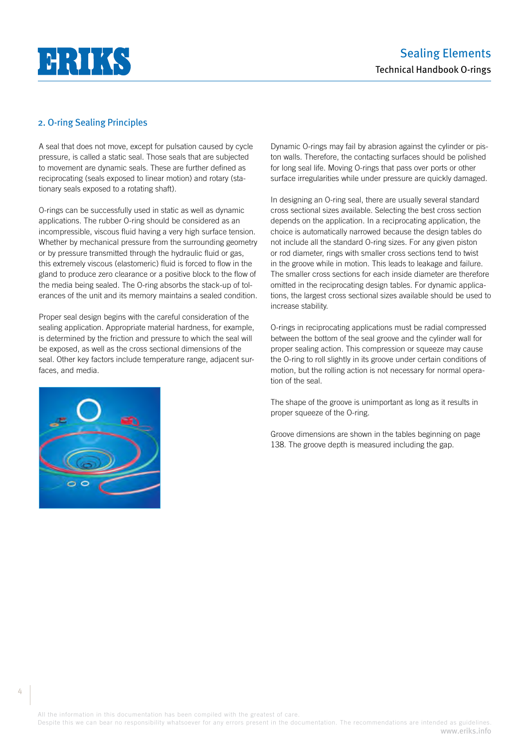

## 2. O-ring Sealing Principles

A seal that does not move, except for pulsation caused by cycle pressure, is called a static seal. Those seals that are subjected to movement are dynamic seals. These are further defined as reciprocating (seals exposed to linear motion) and rotary (stationary seals exposed to a rotating shaft).

O-rings can be successfully used in static as well as dynamic applications. The rubber O-ring should be considered as an incompressible, viscous fluid having a very high surface tension. Whether by mechanical pressure from the surrounding geometry or by pressure transmitted through the hydraulic fluid or gas, this extremely viscous (elastomeric) fluid is forced to flow in the gland to produce zero clearance or a positive block to the flow of the media being sealed. The O-ring absorbs the stack-up of tolerances of the unit and its memory maintains a sealed condition.

Proper seal design begins with the careful consideration of the sealing application. Appropriate material hardness, for example, is determined by the friction and pressure to which the seal will be exposed, as well as the cross sectional dimensions of the seal. Other key factors include temperature range, adjacent surfaces, and media.



Dynamic O-rings may fail by abrasion against the cylinder or piston walls. Therefore, the contacting surfaces should be polished for long seal life. Moving O-rings that pass over ports or other surface irregularities while under pressure are quickly damaged.

In designing an O-ring seal, there are usually several standard cross sectional sizes available. Selecting the best cross section depends on the application. In a reciprocating application, the choice is automatically narrowed because the design tables do not include all the standard O-ring sizes. For any given piston or rod diameter, rings with smaller cross sections tend to twist in the groove while in motion. This leads to leakage and failure. The smaller cross sections for each inside diameter are therefore omitted in the reciprocating design tables. For dynamic applications, the largest cross sectional sizes available should be used to increase stability.

O-rings in reciprocating applications must be radial compressed between the bottom of the seal groove and the cylinder wall for proper sealing action. This compression or squeeze may cause the O-ring to roll slightly in its groove under certain conditions of motion, but the rolling action is not necessary for normal operation of the seal.

The shape of the groove is unimportant as long as it results in proper squeeze of the O-ring.

Groove dimensions are shown in the tables beginning on page 138. The groove depth is measured including the gap.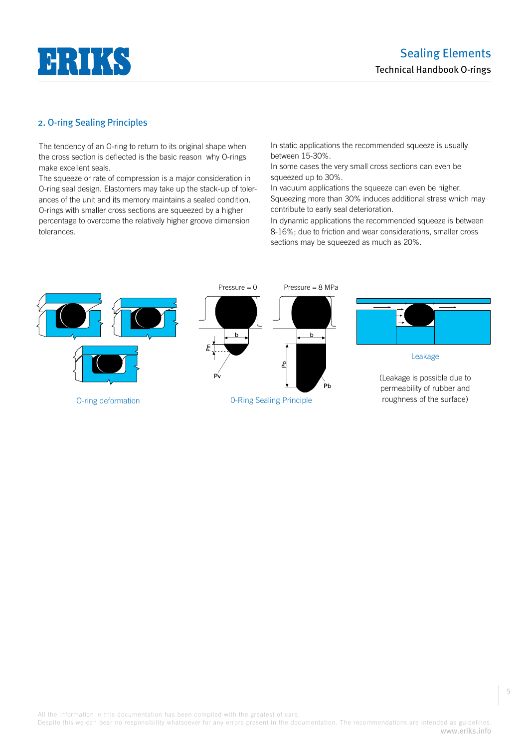

## 2. O-ring Sealing Principles

The tendency of an O-ring to return to its original shape when the cross section is deflected is the basic reason why O-rings make excellent seals.

The squeeze or rate of compression is a major consideration in O-ring seal design. Elastomers may take up the stack-up of tolerances of the unit and its memory maintains a sealed condition. O-rings with smaller cross sections are squeezed by a higher percentage to overcome the relatively higher groove dimension tolerances.

In static applications the recommended squeeze is usually between 15-30%.

In some cases the very small cross sections can even be squeezed up to 30%.

In vacuum applications the squeeze can even be higher. Squeezing more than 30% induces additional stress which may contribute to early seal deterioration.

In dynamic applications the recommended squeeze is between 8-16%; due to friction and wear considerations, smaller cross sections may be squeezed as much as 20%.



Despite this we can bear no responsibility whatsoever for any errors present in the documentation. The recommendations are intended as guidelines. www.eriks.info